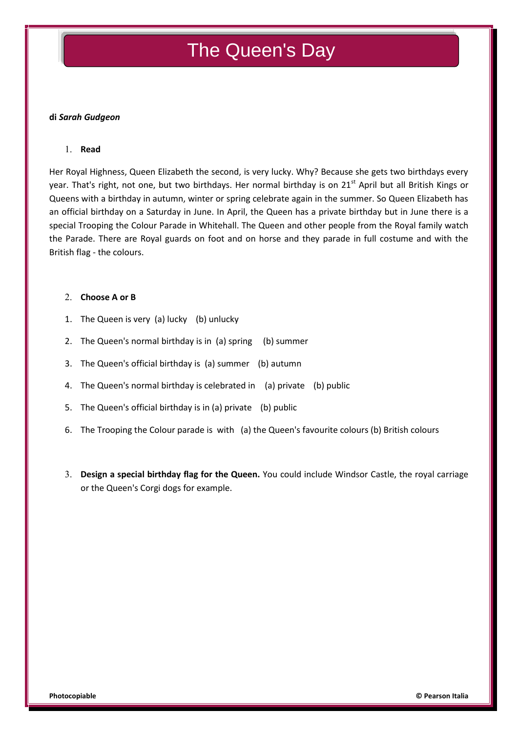# The Queen's Day

### **di** *Sarah Gudgeon*

### **Read**

Her Royal Highness, Queen Elizabeth the second, is very lucky. Why? Because she gets two birthdays every year. That's right, not one, but two birthdays. Her normal birthday is on 21<sup>st</sup> April but all British Kings or Queens with a birthday in autumn, winter or spring celebrate again in the summer. So Queen Elizabeth has an official birthday on a Saturday in June. In April, the Queen has a private birthday but in June there is a special Trooping the Colour Parade in Whitehall. The Queen and other people from the Royal family watch the Parade. There are Royal guards on foot and on horse and they parade in full costume and with the British flag - the colours.

#### **Choose A or B**

- 1. The Queen is very (a) lucky (b) unlucky
- 2. The Queen's normal birthday is in (a) spring (b) summer
- 3. The Queen's official birthday is (a) summer (b) autumn
- 4. The Queen's normal birthday is celebrated in (a) private (b) public
- 5. The Queen's official birthday is in (a) private (b) public
- 6. The Trooping the Colour parade is with (a) the Queen's favourite colours (b) British colours
- **Design a special birthday flag for the Queen.** You could include Windsor Castle, the royal carriage or the Queen's Corgi dogs for example.